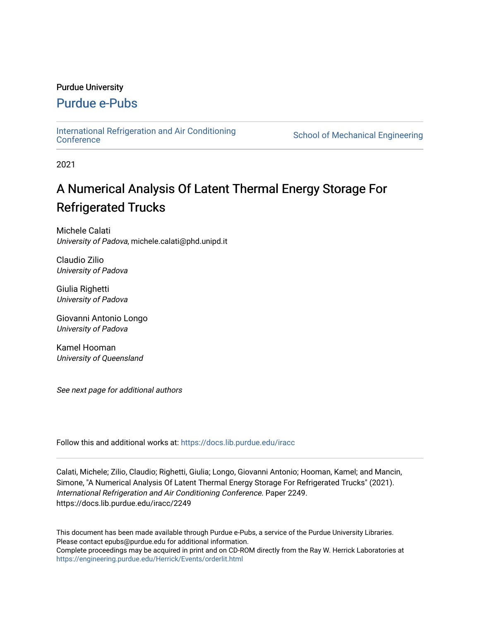# Purdue University

# [Purdue e-Pubs](https://docs.lib.purdue.edu/)

[International Refrigeration and Air Conditioning](https://docs.lib.purdue.edu/iracc) 

School of Mechanical Engineering

2021

# A Numerical Analysis Of Latent Thermal Energy Storage For Refrigerated Trucks

Michele Calati University of Padova, michele.calati@phd.unipd.it

Claudio Zilio University of Padova

Giulia Righetti University of Padova

Giovanni Antonio Longo University of Padova

Kamel Hooman University of Queensland

See next page for additional authors

Follow this and additional works at: [https://docs.lib.purdue.edu/iracc](https://docs.lib.purdue.edu/iracc?utm_source=docs.lib.purdue.edu%2Firacc%2F2249&utm_medium=PDF&utm_campaign=PDFCoverPages)

Calati, Michele; Zilio, Claudio; Righetti, Giulia; Longo, Giovanni Antonio; Hooman, Kamel; and Mancin, Simone, "A Numerical Analysis Of Latent Thermal Energy Storage For Refrigerated Trucks" (2021). International Refrigeration and Air Conditioning Conference. Paper 2249. https://docs.lib.purdue.edu/iracc/2249

This document has been made available through Purdue e-Pubs, a service of the Purdue University Libraries. Please contact epubs@purdue.edu for additional information. Complete proceedings may be acquired in print and on CD-ROM directly from the Ray W. Herrick Laboratories at <https://engineering.purdue.edu/Herrick/Events/orderlit.html>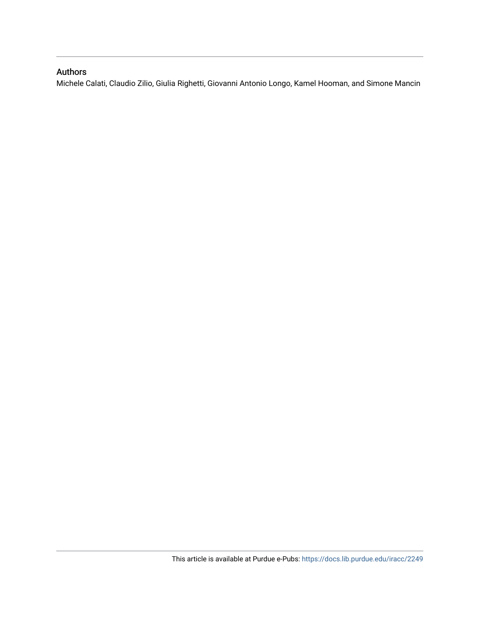# Authors

Michele Calati, Claudio Zilio, Giulia Righetti, Giovanni Antonio Longo, Kamel Hooman, and Simone Mancin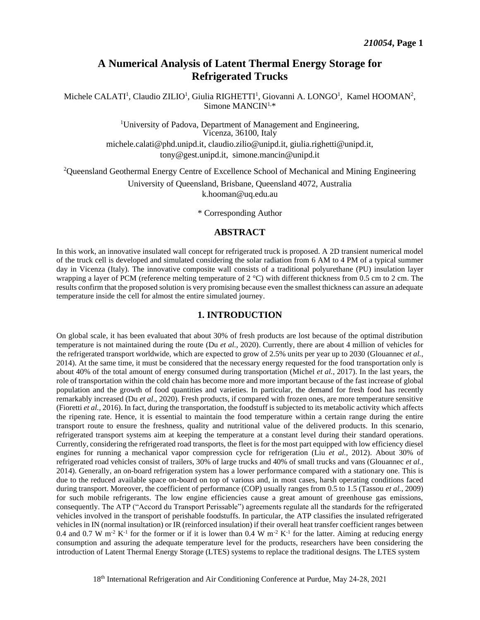# **A Numerical Analysis of Latent Thermal Energy Storage for Refrigerated Trucks**

Michele CALATI<sup>1</sup>, Claudio ZILIO<sup>1</sup>, Giulia RIGHETTI<sup>1</sup>, Giovanni A. LONGO<sup>1</sup>, Kamel HOOMAN<sup>2</sup>, Simone MANCIN $1.*$ 

> <sup>1</sup>University of Padova, Department of Management and Engineering, Vicenza, 36100, Italy [michele.calati@phd.unipd.it](mailto:michele.calati@phd.unipd.it), [claudio.zilio@unipd.it,](mailto:claudio.zilio@unipd.it) [giulia.righetti@unipd.it,](mailto:giulia.righetti@unipd.it) [tony@gest.unipd.it](mailto:tony@gest.unipd.it), [simone.mancin@unipd.it](mailto:simone.mancin@unipd.it)

<sup>2</sup>Queensland Geothermal Energy Centre of Excellence School of Mechanical and Mining Engineering

University of Queensland, Brisbane, Queensland 4072, Australia k.hooman@uq.edu.au

\* Corresponding Author

# **ABSTRACT**

 In this work, an innovative insulated wall concept for refrigerated truck is proposed. A 2D transient numerical model of the truck cell is developed and simulated considering the solar radiation from 6 AM to 4 PM of a typical summer day in Vicenza (Italy). The innovative composite wall consists of a traditional polyurethane (PU) insulation layer wrapping a layer of PCM (reference melting temperature of  $2^{\circ}$ C) with different thickness from 0.5 cm to 2 cm. The results confirm that the proposed solution is very promising because even the smallest thickness can assure an adequate temperature inside the cell for almost the entire simulated journey.

# **1. INTRODUCTION**

 On global scale, it has been evaluated that about 30% of fresh products are lost because of the optimal distribution temperature is not maintained during the route (Du *et al.*, 2020). Currently, there are about 4 million of vehicles for the refrigerated transport worldwide, which are expected to grow of 2.5% units per year up to 2030 (Glouannec *et al.*, 2014). At the same time, it must be considered that the necessary energy requested for the food transportation only is about 40% of the total amount of energy consumed during transportation (Michel *et al.*, 2017). In the last years, the role of transportation within the cold chain has become more and more important because of the fast increase of global population and the growth of food quantities and varieties. In particular, the demand for fresh food has recently remarkably increased (Du *et al*., 2020). Fresh products, if compared with frozen ones, are more temperature sensitive (Fioretti *et al.*, 2016). In fact, during the transportation, the foodstuff is subjected to its metabolic activity which affects the ripening rate. Hence, it is essential to maintain the food temperature within a certain range during the entire transport route to ensure the freshness, quality and nutritional value of the delivered products. In this scenario, refrigerated transport systems aim at keeping the temperature at a constant level during their standard operations. Currently, considering the refrigerated road transports, the fleet is for the most part equipped with low efficiency diesel engines for running a mechanical vapor compression cycle for refrigeration (Liu *et al.*, 2012). About 30% of refrigerated road vehicles consist of trailers, 30% of large trucks and 40% of small trucks and vans (Glouannec *et al.,*  2014). Generally, an on-board refrigeration system has a lower performance compared with a stationary one. This is due to the reduced available space on-board on top of various and, in most cases, harsh operating conditions faced during transport. Moreover, the coefficient of performance (COP) usually ranges from 0.5 to 1.5 (Tassou *et al.*, 2009) for such mobile refrigerants. The low engine efficiencies cause a great amount of greenhouse gas emissions, consequently. The ATP ("Accord du Transport Perissable") agreements regulate all the standards for the refrigerated vehicles involved in the transport of perishable foodstuffs. In particular, the ATP classifies the insulated refrigerated vehicles in IN (normal insultation) or IR (reinforced insulation) if their overall heat transfer coefficient ranges between 0.4 and 0.7 W m<sup>-2</sup> K<sup>-1</sup> for the former or if it is lower than 0.4 W m<sup>-2</sup> K<sup>-1</sup> for the latter. Aiming at reducing energy consumption and assuring the adequate temperature level for the products, researchers have been considering the introduction of Latent Thermal Energy Storage (LTES) systems to replace the traditional designs. The LTES system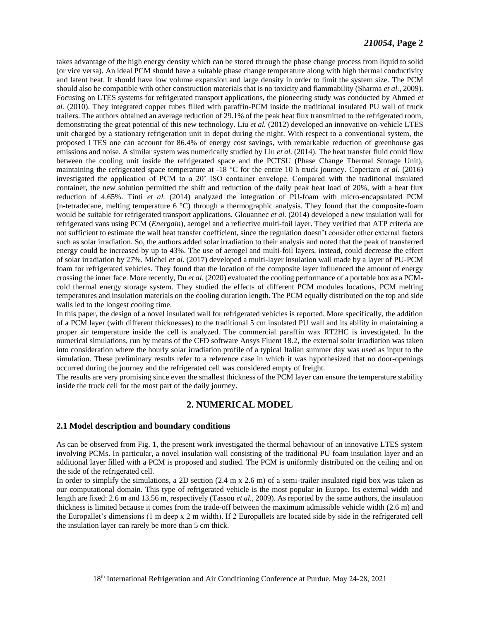takes advantage of the high energy density which can be stored through the phase change process from liquid to solid (or vice versa). An ideal PCM should have a suitable phase change temperature along with high thermal conductivity and latent heat. It should have low volume expansion and large density in order to limit the system size. The PCM should also be compatible with other construction materials that is no toxicity and flammability (Sharma *et al.*, 2009). Focusing on LTES systems for refrigerated transport applications, the pioneering study was conducted by Ahmed *et al.* (2010). They integrated copper tubes filled with paraffin-PCM inside the traditional insulated PU wall of truck trailers. The authors obtained an average reduction of 29.1% of the peak heat flux transmitted to the refrigerated room, demonstrating the great potential of this new technology. Liu *et al.* (2012) developed an innovative on-vehicle LTES unit charged by a stationary refrigeration unit in depot during the night. With respect to a conventional system, the proposed LTES one can account for 86.4% of energy cost savings, with remarkable reduction of greenhouse gas emissions and noise. A similar system was numerically studied by Liu *et al.* (2014). The heat transfer fluid could flow between the cooling unit inside the refrigerated space and the PCTSU (Phase Change Thermal Storage Unit), maintaining the refrigerated space temperature at -18 °C for the entire 10 h truck journey. Copertaro *et al.* (2016) investigated the application of PCM to a 20' ISO container envelope. Compared with the traditional insulated container, the new solution permitted the shift and reduction of the daily peak heat load of 20%, with a heat flux reduction of 4.65%. Tinti *et al.* (2014) analyzed the integration of PU-foam with micro-encapsulated PCM (n-tetradecane, melting temperature 6 °C) through a thermographic analysis. They found that the composite-foam would be suitable for refrigerated transport applications. Glouannec *et al.* (2014) developed a new insulation wall for refrigerated vans using PCM (*Energain*), aerogel and a reflective multi-foil layer. They verified that ATP criteria are not sufficient to estimate the wall heat transfer coefficient, since the regulation doesn't consider other external factors such as solar irradiation. So, the authors added solar irradiation to their analysis and noted that the peak of transferred energy could be increased by up to 43%. The use of aerogel and multi-foil layers, instead, could decrease the effect of solar irradiation by 27%. Michel *et al.* (2017) developed a multi-layer insulation wall made by a layer of PU-PCM foam for refrigerated vehicles. They found that the location of the composite layer influenced the amount of energy crossing the inner face. More recently, Du *et al.* (2020) evaluated the cooling performance of a portable box as a PCMcold thermal energy storage system. They studied the effects of different PCM modules locations, PCM melting temperatures and insulation materials on the cooling duration length. The PCM equally distributed on the top and side walls led to the longest cooling time.

In this paper, the design of a novel insulated wall for refrigerated vehicles is reported. More specifically, the addition of a PCM layer (with different thicknesses) to the traditional 5 cm insulated PU wall and its ability in maintaining a proper air temperature inside the cell is analyzed. The commercial paraffin wax RT2HC is investigated. In the numerical simulations, run by means of the CFD software Ansys Fluent 18.2, the external solar irradiation was taken into consideration where the hourly solar irradiation profile of a typical Italian summer day was used as input to the simulation. These preliminary results refer to a reference case in which it was hypothesized that no door-openings occurred during the journey and the refrigerated cell was considered empty of freight.

The results are very promising since even the smallest thickness of the PCM layer can ensure the temperature stability inside the truck cell for the most part of the daily journey.

# **2. NUMERICAL MODEL**

### **2.1 Model description and boundary conditions**

As can be observed from Fig. 1, the present work investigated the thermal behaviour of an innovative LTES system involving PCMs. In particular, a novel insulation wall consisting of the traditional PU foam insulation layer and an additional layer filled with a PCM is proposed and studied. The PCM is uniformly distributed on the ceiling and on the side of the refrigerated cell.

In order to simplify the simulations, a 2D section (2.4 m x 2.6 m) of a semi-trailer insulated rigid box was taken as our computational domain. This type of refrigerated vehicle is the most popular in Europe. Its external width and length are fixed: 2.6 m and 13.56 m, respectively (Tassou *et al.*, 2009). As reported by the same authors, the insulation thickness is limited because it comes from the trade-off between the maximum admissible vehicle width (2.6 m) and the Europallet's dimensions (1 m deep x 2 m width). If 2 Europallets are located side by side in the refrigerated cell the insulation layer can rarely be more than 5 cm thick.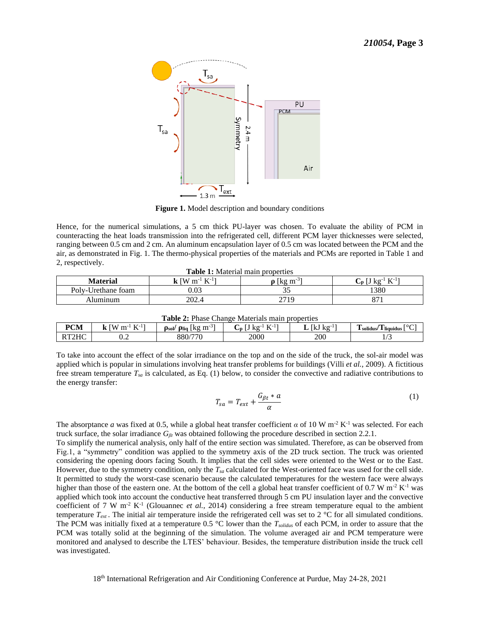

**Figure 1.** Model description and boundary conditions

 Hence, for the numerical simulations, a 5 cm thick PU-layer was chosen. To evaluate the ability of PCM in ranging between 0.5 cm and 2 cm. An aluminum encapsulation layer of 0.5 cm was located between the PCM and the air, as demonstrated in Fig. 1. The thermo-physical properties of the materials and PCMs are reported in Table 1 and counteracting the heat loads transmission into the refrigerated cell, different PCM layer thicknesses were selected, 2, respectively.

**Table 1:** Material main properties

| Material           | . 17-l 1<br><b>TW</b><br>, m <sup>-1</sup><br><br>л. | $m-3$<br>l Kg    | $V-11$<br>ι∠ σ<br>ີ∪<br><b>IX</b> |
|--------------------|------------------------------------------------------|------------------|-----------------------------------|
| Poly-Urethane foam | $0.03\,$                                             | ◡-               | 1380                              |
| ⊾lumınum           | 202.4                                                | 2710<br>$\sim$ 1 | 07                                |

| <b>Table 2:</b> Phase Change Materials main properties |                                           |                                                  |                    |            |                             |  |  |
|--------------------------------------------------------|-------------------------------------------|--------------------------------------------------|--------------------|------------|-----------------------------|--|--|
| <b>PCM</b>                                             | $TZ-1$<br><b>TW</b><br>$\mathbf{m}$<br>17 | $\mu$ p <sub>lig</sub>   kg<br>m<br>$\rho_{sol}$ | $TZ-1$<br>←n<br>17 | KΩ<br>IKJ. | solidus/<br>1 liquidus<br>◡ |  |  |
|                                                        | ∪.∠                                       | 880/770                                          | 2000               | 200        |                             |  |  |

 To take into account the effect of the solar irradiance on the top and on the side of the truck, the sol-air model was applied which is popular in simulations involving heat transfer problems for buildings (Villi *et al.*, 2009). A fictitious free stream temperature  $T_{sa}$  is calculated, as Eq. (1) below, to consider the convective and radiative contributions to the energy transfer:

$$
T_{sa} = T_{ext} + \frac{G_{\beta t} * a}{\alpha} \tag{1}
$$

The absorptance *a* was fixed at 0.5, while a global heat transfer coefficient *α* of 10 W m<sup>-2</sup> K<sup>-1</sup> was selected. For each truck surface, the solar irradiance *Gβt* was obtained following the procedure described in section 2.2.1.

applied which took into account the conductive heat transferred through 5 cm PU insulation layer and the convective coefficient of 7 W m<sup>-2</sup> K<sup>-1</sup> (Glouannec *et al.*, 2014) considering a free stream temperature equal to To simplify the numerical analysis, only half of the entire section was simulated. Therefore, as can be observed from Fig.1, a "symmetry" condition was applied to the symmetry axis of the 2D truck section. The truck was oriented considering the opening doors facing South. It implies that the cell sides were oriented to the West or to the East. However, due to the symmetry condition, only the *Tsa* calculated for the West-oriented face was used for the cell side. It permitted to study the worst-case scenario because the calculated temperatures for the western face were always higher than those of the eastern one. At the bottom of the cell a global heat transfer coefficient of 0.7 temperature  $T_{ext}$ . The initial air temperature inside the refrigerated cell was set to 2  $^{\circ}$ C for all simulated conditions. The PCM was initially fixed at a temperature 0.5 °C lower than the *Tsolidus* of each PCM, in order to assure that the PCM was totally solid at the beginning of the simulation. The volume averaged air and PCM temperature were monitored and analysed to describe the LTES' behaviour. Besides, the temperature distribution inside the truck cell was investigated.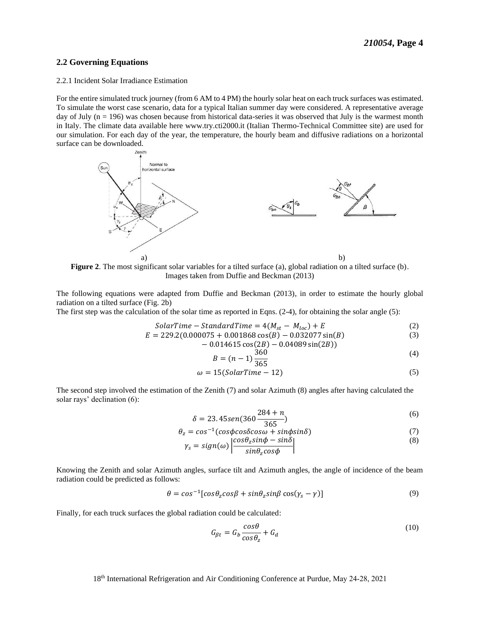### **2.2 Governing Equations**

#### 2.2.1 Incident Solar Irradiance Estimation

 For the entire simulated truck journey (from 6 AM to 4 PM) the hourly solar heat on each truck surfaces was estimated. To simulate the worst case scenario, data for a typical Italian summer day were considered. A representative average day of July (n = 196) was chosen because from historical data-series it was observed that July is the warmest month in Italy. The climate data available here <www.try.cti2000.it> (Italian Thermo-Technical Committee site) are used for our simulation. For each day of the year, the temperature, the hourly beam and diffusive radiations on a horizontal surface can be downloaded.



 **Figure 2**. The most significant solar variables for a tilted surface (a), global radiation on a tilted surface (b). Images taken from Duffie and Beckman (2013)

 The following equations were adapted from Duffie and Beckman (2013), in order to estimate the hourly global radiation on a tilted surface (Fig. 2b)

The first step was the calculation of the solar time as reported in Eqns. (2-4), for obtaining the solar angle (5):

$$
SolarTime - StandardTime = 4(M_{st} - M_{loc}) + E
$$
 (2)

$$
E = 229.2(0.000075 + 0.001868 \cos(B) - 0.032077 \sin(B) - 0.014615 \cos(2B) - 0.04089 \sin(2B))
$$
\n(3)

$$
B = (n-1)\frac{360}{365}
$$
 (4)

$$
\omega = 15(SolarTime - 12) \tag{5}
$$

 The second step involved the estimation of the Zenith (7) and solar Azimuth (8) angles after having calculated the solar rays' declination (6):

$$
\delta = 23.45 \text{sen} (360 \frac{284 + n}{365})
$$
\n<sup>(6)</sup>

$$
\theta_z = \cos^{-1}(\cos\phi \cos\delta \cos\omega + \sin\phi \sin\delta) \tag{7}
$$

$$
\gamma_s = sign(\omega) \left| \frac{\cos \theta_z \sin \phi - \sin \delta}{\sin \theta_z \cos \phi} \right| \tag{8}
$$

 Knowing the Zenith and solar Azimuth angles, surface tilt and Azimuth angles, the angle of incidence of the beam radiation could be predicted as follows:

$$
\theta = \cos^{-1}[\cos\theta_z \cos\beta + \sin\theta_z \sin\beta \cos(\gamma_s - \gamma)]
$$
\n(9)

Finally, for each truck surfaces the global radiation could be calculated:

$$
G_{\beta t} = G_b \frac{\cos \theta}{\cos \theta_z} + G_d \tag{10}
$$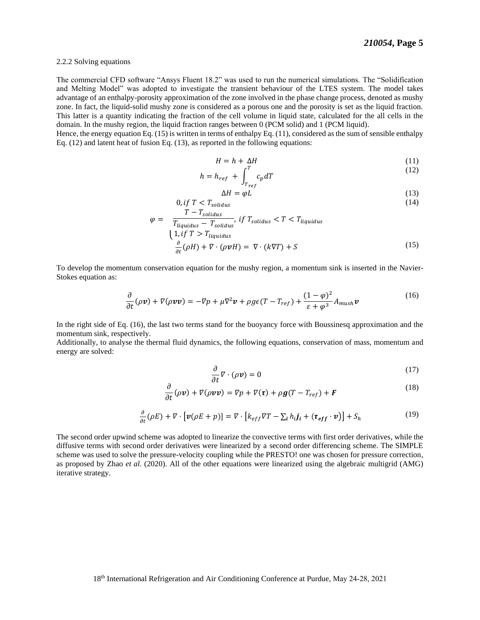#### 2.2.2 Solving equations

 The commercial CFD software "Ansys Fluent 18.2" was used to run the numerical simulations. The "Solidification and Melting Model" was adopted to investigate the transient behaviour of the LTES system. The model takes advantage of an enthalpy-porosity approximation of the zone involved in the phase change process, denoted as mushy zone. In fact, the liquid-solid mushy zone is considered as a porous one and the porosity is set as the liquid fraction. This latter is a quantity indicating the fraction of the cell volume in liquid state, calculated for the all cells in the domain. In the mushy region, the liquid fraction ranges between 0 (PCM solid) and 1 (PCM liquid).

 Hence, the energy equation Eq. (15) is written in terms of enthalpy Eq. (11), considered as the sum of sensible enthalpy Eq. (12) and latent heat of fusion Eq. (13), as reported in the following equations:

$$
H = h + \Delta H \tag{11}
$$

$$
h = h_{ref} + \int_{T_{ref}}^{T} c_p dT \tag{12}
$$

$$
\Delta H = \varphi L \tag{13}
$$

$$
0, if T < T_{solidus} \tag{14}
$$
\n
$$
T - T_{solidus} \tag{15}
$$

$$
\varphi = \frac{\overline{T_{liquidus} - T_{solidus}}}{T_{liquidus} - T_{liquidus}}
$$
\n
$$
\frac{1}{\pi} \left( \frac{1}{f} \right) \overline{T} > T_{liquidus}
$$
\n
$$
\frac{\partial}{\partial t} (\rho H) + \nabla \cdot (\rho \nu H) = \nabla \cdot (k \nabla T) + S
$$
\n(15)

 To develop the momentum conservation equation for the mushy region, a momentum sink is inserted in the Navier-Stokes equation as:

$$
\frac{\partial}{\partial t}(\rho \nu) + \nabla(\rho \nu \nu) = -\nabla p + \mu \nabla^2 \nu + \rho g \epsilon (T - T_{ref}) + \frac{(1 - \varphi)^2}{\epsilon + \varphi^3} A_{mush} \nu \tag{16}
$$

 In the right side of Eq. (16), the last two terms stand for the buoyancy force with Boussinesq approximation and the momentum sink, respectively.

 Additionally, to analyse the thermal fluid dynamics, the following equations, conservation of mass, momentum and energy are solved:

$$
\frac{\partial}{\partial t}\nabla \cdot (\rho \mathbf{v}) = 0 \tag{17}
$$

$$
\frac{\partial}{\partial t}(\rho \nu) + \nabla(\rho \nu \nu) = \nabla p + \nabla(\tau) + \rho g (T - T_{ref}) + F \tag{18}
$$

$$
\frac{\partial}{\partial t}(\rho E) + \nabla \cdot \left[ \nu(\rho E + p) \right] = \nabla \cdot \left[ k_{eff} \nabla T - \sum_i h_i j_i + (\tau_{eff} \cdot \nu) \right] + S_h \tag{19}
$$

 The second order upwind scheme was adopted to linearize the convective terms with first order derivatives, while the diffusive terms with second order derivatives were linearized by a second order differencing scheme. The SIMPLE scheme was used to solve the pressure-velocity coupling while the PRESTO! one was chosen for pressure correction, as proposed by Zhao *et al.* (2020). All of the other equations were linearized using the algebraic multigrid (AMG) iterative strategy.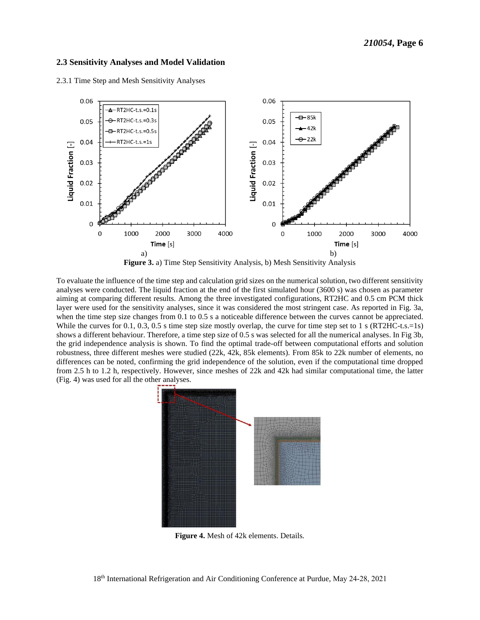#### **2.3 Sensitivity Analyses and Model Validation**

2.3.1 Time Step and Mesh Sensitivity Analyses



**Figure 3.** a) Time Step Sensitivity Analysis, b) Mesh Sensitivity Analysis

 To evaluate the influence of the time step and calculation grid sizes on the numerical solution, two different sensitivity analyses were conducted. The liquid fraction at the end of the first simulated hour (3600 s) was chosen as parameter aiming at comparing different results. Among the three investigated configurations, RT2HC and 0.5 cm PCM thick layer were used for the sensitivity analyses, since it was considered the most stringent case. As reported in Fig. 3a, when the time step size changes from 0.1 to 0.5 s a noticeable difference between the curves cannot be appreciated. While the curves for 0.1, 0.3, 0.5 s time step size mostly overlap, the curve for time step set to 1 s (RT2HC-t.s.=1s) shows a different behaviour. Therefore, a time step size of 0.5 s was selected for all the numerical analyses. In Fig 3b, the grid independence analysis is shown. To find the optimal trade-off between computational efforts and solution robustness, three different meshes were studied (22k, 42k, 85k elements). From 85k to 22k number of elements, no differences can be noted, confirming the grid independence of the solution, even if the computational time dropped from 2.5 h to 1.2 h, respectively. However, since meshes of 22k and 42k had similar computational time, the latter (Fig. 4) was used for all the other analyses.



**Figure 4.** Mesh of 42k elements. Details.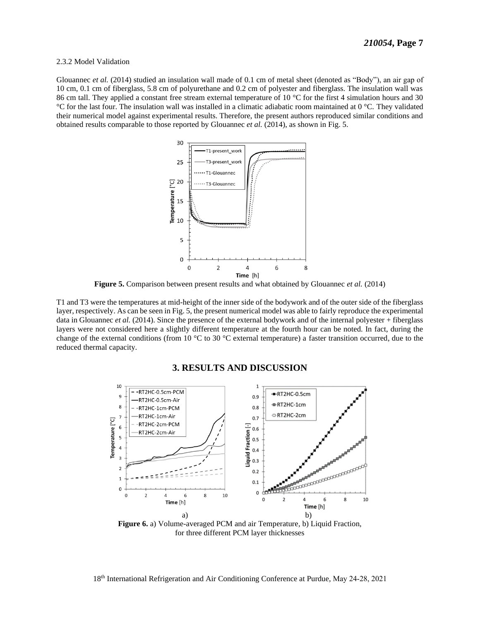#### 2.3.2 Model Validation

Glouannec *et al.* (2014) studied an insulation wall made of 0.1 cm of metal sheet (denoted as "Body"), an air gap of 10 cm, 0.1 cm of fiberglass, 5.8 cm of polyurethane and 0.2 cm of polyester and fiberglass. The insulation wall was 86 cm tall. They applied a constant free stream external temperature of 10  $^{\circ}$ C for the first 4 simulation hours and 30 °C for the last four. The insulation wall was installed in a climatic adiabatic room maintained at 0 °C. They validated their numerical model against experimental results. Therefore, the present authors reproduced similar conditions and obtained results comparable to those reported by Glouannec *et al.* (2014), as shown in Fig. 5.



**Figure 5.** Comparison between present results and what obtained by Glouannec *et al.* (2014)

 T1 and T3 were the temperatures at mid-height of the inner side of the bodywork and of the outer side of the fiberglass layer, respectively. As can be seen in Fig. 5, the present numerical model was able to fairly reproduce the experimental data in Glouannec *et al.* (2014). Since the presence of the external bodywork and of the internal polyester + fiberglass layers were not considered here a slightly different temperature at the fourth hour can be noted. In fact, during the change of the external conditions (from 10  $^{\circ}$ C to 30  $^{\circ}$ C external temperature) a faster transition occurred, due to the reduced thermal capacity.



### **3. RESULTS AND DISCUSSION**

 **Figure 6.** a) Volume-averaged PCM and air Temperature, b) Liquid Fraction, for three different PCM layer thicknesses

18th International Refrigeration and Air Conditioning Conference at Purdue, May 24-28, 2021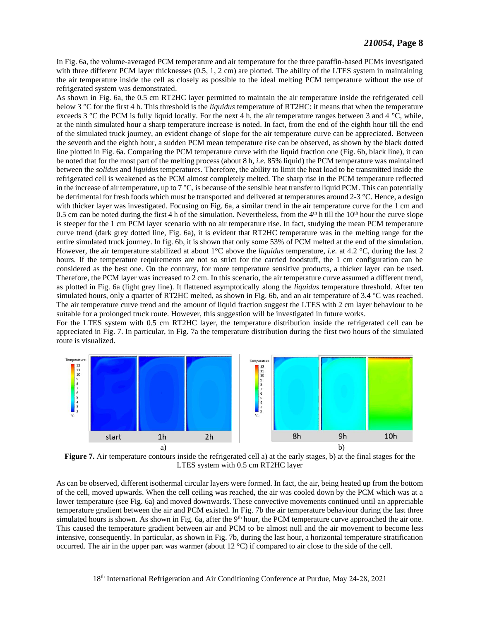In Fig. 6a, the volume-averaged PCM temperature and air temperature for the three paraffin-based PCMs investigated with three different PCM layer thicknesses (0.5, 1, 2 cm) are plotted. The ability of the LTES system in maintaining the air temperature inside the cell as closely as possible to the ideal melting PCM temperature without the use of refrigerated system was demonstrated.

 As shown in Fig. 6a, the 0.5 cm RT2HC layer permitted to maintain the air temperature inside the refrigerated cell below 3 °C for the first 4 h. This threshold is the *liquidus* temperature of RT2HC: it means that when the temperature exceeds 3  $\degree$ C the PCM is fully liquid locally. For the next 4 h, the air temperature ranges between 3 and 4  $\degree$ C, while, at the ninth simulated hour a sharp temperature increase is noted. In fact, from the end of the eighth hour till the end of the simulated truck journey, an evident change of slope for the air temperature curve can be appreciated. Between the seventh and the eighth hour, a sudden PCM mean temperature rise can be observed, as shown by the black dotted line plotted in Fig. 6a. Comparing the PCM temperature curve with the liquid fraction one (Fig. 6b, black line), it can be noted that for the most part of the melting process (about 8 h, *i.e.* 85% liquid) the PCM temperature was maintained between the *solidus* and *liquidus* temperatures. Therefore, the ability to limit the heat load to be transmitted inside the refrigerated cell is weakened as the PCM almost completely melted. The sharp rise in the PCM temperature reflected in the increase of air temperature, up to  $7^{\circ}$ C, is because of the sensible heat transfer to liquid PCM. This can potentially be detrimental for fresh foods which must be transported and delivered at temperatures around 2-3 °C. Hence, a design with thicker layer was investigated. Focusing on Fig. 6a, a similar trend in the air temperature curve for the 1 cm and 0.5 cm can be noted during the first 4 h of the simulation. Nevertheless, from the  $4<sup>th</sup>$  h till the 10<sup>th</sup> hour the curve slope is steeper for the 1 cm PCM layer scenario with no air temperature rise. In fact, studying the mean PCM temperature curve trend (dark grey dotted line, Fig. 6a), it is evident that RT2HC temperature was in the melting range for the entire simulated truck journey. In fig. 6b, it is shown that only some 53% of PCM melted at the end of the simulation. However, the air temperature stabilized at about 1°C above the *liquidus* temperature, *i.e.* at 4.2 °C, during the last 2 hours. If the temperature requirements are not so strict for the carried foodstuff, the 1 cm configuration can be considered as the best one. On the contrary, for more temperature sensitive products, a thicker layer can be used. Therefore, the PCM layer was increased to 2 cm. In this scenario, the air temperature curve assumed a different trend, as plotted in Fig. 6a (light grey line). It flattened asymptotically along the *liquidus* temperature threshold. After ten simulated hours, only a quarter of RT2HC melted, as shown in Fig. 6b, and an air temperature of 3.4 °C was reached. The air temperature curve trend and the amount of liquid fraction suggest the LTES with 2 cm layer behaviour to be suitable for a prolonged truck route. However, this suggestion will be investigated in future works.

 For the LTES system with 0.5 cm RT2HC layer, the temperature distribution inside the refrigerated cell can be appreciated in Fig. 7. In particular, in Fig. 7a the temperature distribution during the first two hours of the simulated route is visualized.



**Figure 7.** Air temperature contours inside the refrigerated cell a) at the early stages, b) at the final stages for the LTES system with 0.5 cm RT2HC layer

 As can be observed, different isothermal circular layers were formed. In fact, the air, being heated up from the bottom of the cell, moved upwards. When the cell ceiling was reached, the air was cooled down by the PCM which was at a lower temperature (see Fig. 6a) and moved downwards. These convective movements continued until an appreciable temperature gradient between the air and PCM existed. In Fig. 7b the air temperature behaviour during the last three simulated hours is shown. As shown in Fig. 6a, after the  $9<sup>th</sup>$  hour, the PCM temperature curve approached the air one. This caused the temperature gradient between air and PCM to be almost null and the air movement to become less intensive, consequently. In particular, as shown in Fig. 7b, during the last hour, a horizontal temperature stratification occurred. The air in the upper part was warmer (about 12 °C) if compared to air close to the side of the cell.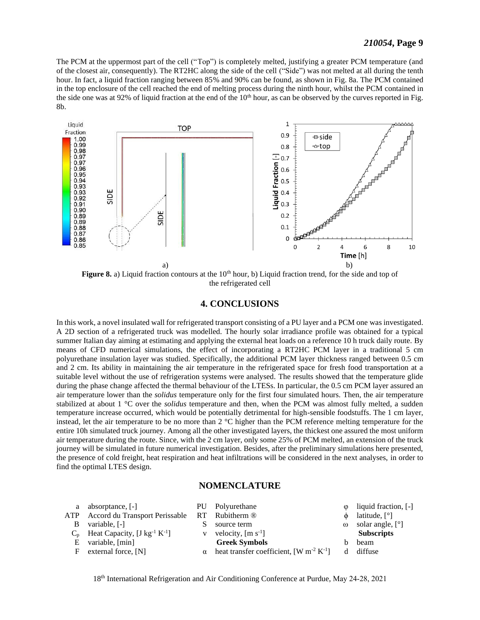The PCM at the uppermost part of the cell ("Top") is completely melted, justifying a greater PCM temperature (and of the closest air, consequently). The RT2HC along the side of the cell ("Side") was not melted at all during the tenth hour. In fact, a liquid fraction ranging between 85% and 90% can be found, as shown in Fig. 8a. The PCM contained in the top enclosure of the cell reached the end of melting process during the ninth hour, whilst the PCM contained in the side one was at 92% of liquid fraction at the end of the  $10<sup>th</sup>$  hour, as can be observed by the curves reported in Fig. 8b.



**Figure 8.** a) Liquid fraction contours at the  $10<sup>th</sup>$  hour, b) Liquid fraction trend, for the side and top of the refrigerated cell

#### **4. CONCLUSIONS**

 In this work, a novel insulated wall for refrigerated transport consisting of a PU layer and a PCM one was investigated. A 2D section of a refrigerated truck was modelled. The hourly solar irradiance profile was obtained for a typical summer Italian day aiming at estimating and applying the external heat loads on a reference 10 h truck daily route. By means of CFD numerical simulations, the effect of incorporating a RT2HC PCM layer in a traditional 5 cm polyurethane insulation layer was studied. Specifically, the additional PCM layer thickness ranged between 0.5 cm and 2 cm. Its ability in maintaining the air temperature in the refrigerated space for fresh food transportation at a suitable level without the use of refrigeration systems were analysed. The results showed that the temperature glide during the phase change affected the thermal behaviour of the LTESs. In particular, the 0.5 cm PCM layer assured an air temperature lower than the *solidus* temperature only for the first four simulated hours. Then, the air temperature stabilized at about 1 °C over the *solidus* temperature and then, when the PCM was almost fully melted, a sudden temperature increase occurred, which would be potentially detrimental for high-sensible foodstuffs. The 1 cm layer, instead, let the air temperature to be no more than  $2 \degree C$  higher than the PCM reference melting temperature for the entire 10h simulated truck journey. Among all the other investigated layers, the thickest one assured the most uniform air temperature during the route. Since, with the 2 cm layer, only some 25% of PCM melted, an extension of the truck journey will be simulated in future numerical investigation. Besides, after the preliminary simulations here presented, the presence of cold freight, heat respiration and heat infiltrations will be considered in the next analyses, in order to find the optimal LTES design.

#### **NOMENCLATURE**

|   | a absorptance, [-]                                         | PU Polyurethane                                                          | $\circ$  | liquid fraction, [-]            |
|---|------------------------------------------------------------|--------------------------------------------------------------------------|----------|---------------------------------|
|   | ATP Accord du Transport Perissable RT Rubitherm ®          |                                                                          |          | latitude, $\lceil \circ \rceil$ |
| B | variable, [-]                                              | source term                                                              | $\omega$ | solar angle, [°]                |
|   | $C_p$ Heat Capacity, [J kg <sup>-1</sup> K <sup>-1</sup> ] | v velocity, $[m s-1]$                                                    |          | <b>Subscripts</b>               |
| E | variable, [min]                                            | <b>Greek Symbols</b>                                                     |          | beam                            |
|   | external force, [N]                                        | $\alpha$ heat transfer coefficient, [W m <sup>-2</sup> K <sup>-1</sup> ] | d.       | diffuse                         |
|   |                                                            |                                                                          |          |                                 |

18th International Refrigeration and Air Conditioning Conference at Purdue, May 24-28, 2021